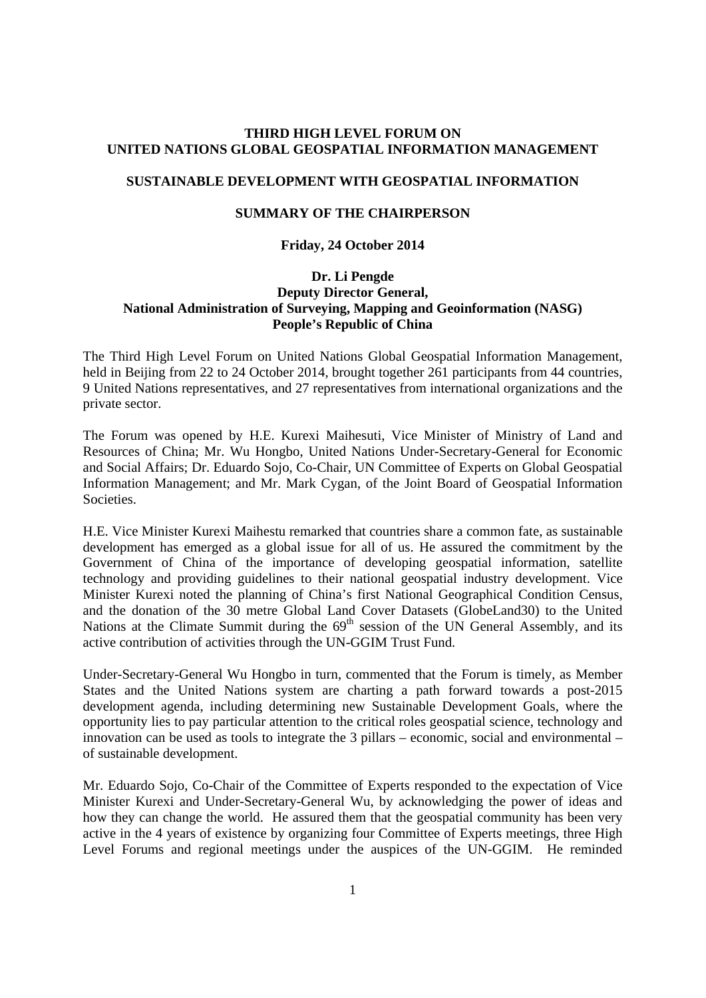# **THIRD HIGH LEVEL FORUM ON UNITED NATIONS GLOBAL GEOSPATIAL INFORMATION MANAGEMENT**

## **SUSTAINABLE DEVELOPMENT WITH GEOSPATIAL INFORMATION**

### **SUMMARY OF THE CHAIRPERSON**

#### **Friday, 24 October 2014**

## **Dr. Li Pengde Deputy Director General, National Administration of Surveying, Mapping and Geoinformation (NASG) People's Republic of China**

The Third High Level Forum on United Nations Global Geospatial Information Management, held in Beijing from 22 to 24 October 2014, brought together 261 participants from 44 countries, 9 United Nations representatives, and 27 representatives from international organizations and the private sector.

The Forum was opened by H.E. Kurexi Maihesuti, Vice Minister of Ministry of Land and Resources of China; Mr. Wu Hongbo, United Nations Under-Secretary-General for Economic and Social Affairs; Dr. Eduardo Sojo, Co-Chair, UN Committee of Experts on Global Geospatial Information Management; and Mr. Mark Cygan, of the Joint Board of Geospatial Information Societies.

H.E. Vice Minister Kurexi Maihestu remarked that countries share a common fate, as sustainable development has emerged as a global issue for all of us. He assured the commitment by the Government of China of the importance of developing geospatial information, satellite technology and providing guidelines to their national geospatial industry development. Vice Minister Kurexi noted the planning of China's first National Geographical Condition Census, and the donation of the 30 metre Global Land Cover Datasets (GlobeLand30) to the United Nations at the Climate Summit during the  $69<sup>th</sup>$  session of the UN General Assembly, and its active contribution of activities through the UN-GGIM Trust Fund.

Under-Secretary-General Wu Hongbo in turn, commented that the Forum is timely, as Member States and the United Nations system are charting a path forward towards a post-2015 development agenda, including determining new Sustainable Development Goals, where the opportunity lies to pay particular attention to the critical roles geospatial science, technology and innovation can be used as tools to integrate the 3 pillars – economic, social and environmental – of sustainable development.

Mr. Eduardo Sojo, Co-Chair of the Committee of Experts responded to the expectation of Vice Minister Kurexi and Under-Secretary-General Wu, by acknowledging the power of ideas and how they can change the world. He assured them that the geospatial community has been very active in the 4 years of existence by organizing four Committee of Experts meetings, three High Level Forums and regional meetings under the auspices of the UN-GGIM. He reminded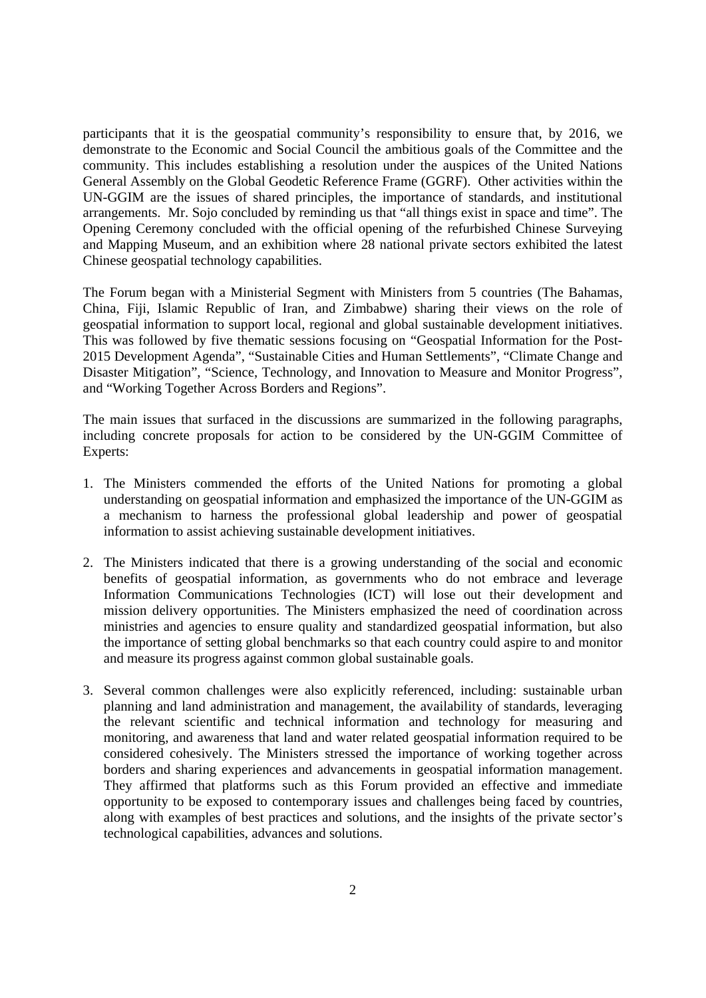participants that it is the geospatial community's responsibility to ensure that, by 2016, we demonstrate to the Economic and Social Council the ambitious goals of the Committee and the community. This includes establishing a resolution under the auspices of the United Nations General Assembly on the Global Geodetic Reference Frame (GGRF). Other activities within the UN-GGIM are the issues of shared principles, the importance of standards, and institutional arrangements. Mr. Sojo concluded by reminding us that "all things exist in space and time". The Opening Ceremony concluded with the official opening of the refurbished Chinese Surveying and Mapping Museum, and an exhibition where 28 national private sectors exhibited the latest Chinese geospatial technology capabilities.

The Forum began with a Ministerial Segment with Ministers from 5 countries (The Bahamas, China, Fiji, Islamic Republic of Iran, and Zimbabwe) sharing their views on the role of geospatial information to support local, regional and global sustainable development initiatives. This was followed by five thematic sessions focusing on "Geospatial Information for the Post-2015 Development Agenda", "Sustainable Cities and Human Settlements", "Climate Change and Disaster Mitigation", "Science, Technology, and Innovation to Measure and Monitor Progress", and "Working Together Across Borders and Regions".

The main issues that surfaced in the discussions are summarized in the following paragraphs, including concrete proposals for action to be considered by the UN-GGIM Committee of Experts:

- 1. The Ministers commended the efforts of the United Nations for promoting a global understanding on geospatial information and emphasized the importance of the UN-GGIM as a mechanism to harness the professional global leadership and power of geospatial information to assist achieving sustainable development initiatives.
- 2. The Ministers indicated that there is a growing understanding of the social and economic benefits of geospatial information, as governments who do not embrace and leverage Information Communications Technologies (ICT) will lose out their development and mission delivery opportunities. The Ministers emphasized the need of coordination across ministries and agencies to ensure quality and standardized geospatial information, but also the importance of setting global benchmarks so that each country could aspire to and monitor and measure its progress against common global sustainable goals.
- 3. Several common challenges were also explicitly referenced, including: sustainable urban planning and land administration and management, the availability of standards, leveraging the relevant scientific and technical information and technology for measuring and monitoring, and awareness that land and water related geospatial information required to be considered cohesively. The Ministers stressed the importance of working together across borders and sharing experiences and advancements in geospatial information management. They affirmed that platforms such as this Forum provided an effective and immediate opportunity to be exposed to contemporary issues and challenges being faced by countries, along with examples of best practices and solutions, and the insights of the private sector's technological capabilities, advances and solutions.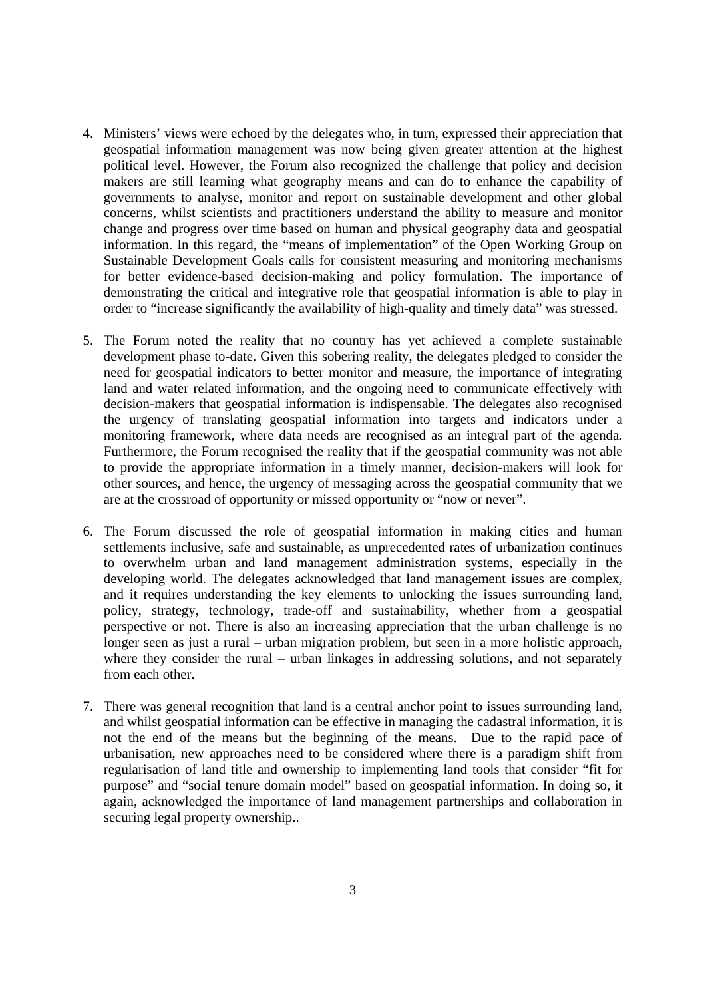- 4. Ministers' views were echoed by the delegates who, in turn, expressed their appreciation that geospatial information management was now being given greater attention at the highest political level. However, the Forum also recognized the challenge that policy and decision makers are still learning what geography means and can do to enhance the capability of governments to analyse, monitor and report on sustainable development and other global concerns, whilst scientists and practitioners understand the ability to measure and monitor change and progress over time based on human and physical geography data and geospatial information. In this regard, the "means of implementation" of the Open Working Group on Sustainable Development Goals calls for consistent measuring and monitoring mechanisms for better evidence-based decision-making and policy formulation. The importance of demonstrating the critical and integrative role that geospatial information is able to play in order to "increase significantly the availability of high-quality and timely data" was stressed.
- 5. The Forum noted the reality that no country has yet achieved a complete sustainable development phase to-date. Given this sobering reality, the delegates pledged to consider the need for geospatial indicators to better monitor and measure, the importance of integrating land and water related information, and the ongoing need to communicate effectively with decision-makers that geospatial information is indispensable. The delegates also recognised the urgency of translating geospatial information into targets and indicators under a monitoring framework, where data needs are recognised as an integral part of the agenda. Furthermore, the Forum recognised the reality that if the geospatial community was not able to provide the appropriate information in a timely manner, decision-makers will look for other sources, and hence, the urgency of messaging across the geospatial community that we are at the crossroad of opportunity or missed opportunity or "now or never".
- 6. The Forum discussed the role of geospatial information in making cities and human settlements inclusive, safe and sustainable, as unprecedented rates of urbanization continues to overwhelm urban and land management administration systems, especially in the developing world. The delegates acknowledged that land management issues are complex, and it requires understanding the key elements to unlocking the issues surrounding land, policy, strategy, technology, trade-off and sustainability, whether from a geospatial perspective or not. There is also an increasing appreciation that the urban challenge is no longer seen as just a rural – urban migration problem, but seen in a more holistic approach, where they consider the rural – urban linkages in addressing solutions, and not separately from each other.
- 7. There was general recognition that land is a central anchor point to issues surrounding land, and whilst geospatial information can be effective in managing the cadastral information, it is not the end of the means but the beginning of the means. Due to the rapid pace of urbanisation, new approaches need to be considered where there is a paradigm shift from regularisation of land title and ownership to implementing land tools that consider "fit for purpose" and "social tenure domain model" based on geospatial information. In doing so, it again, acknowledged the importance of land management partnerships and collaboration in securing legal property ownership..